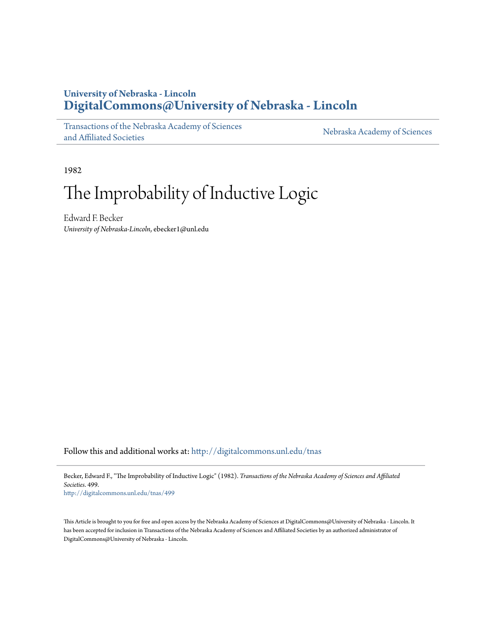## **University of Nebraska - Lincoln [DigitalCommons@University of Nebraska - Lincoln](http://digitalcommons.unl.edu?utm_source=digitalcommons.unl.edu%2Ftnas%2F499&utm_medium=PDF&utm_campaign=PDFCoverPages)**

[Transactions of the Nebraska Academy of Sciences](http://digitalcommons.unl.edu/tnas?utm_source=digitalcommons.unl.edu%2Ftnas%2F499&utm_medium=PDF&utm_campaign=PDFCoverPages) [and Affiliated Societies](http://digitalcommons.unl.edu/tnas?utm_source=digitalcommons.unl.edu%2Ftnas%2F499&utm_medium=PDF&utm_campaign=PDFCoverPages)

[Nebraska Academy of Sciences](http://digitalcommons.unl.edu/nebacadsci?utm_source=digitalcommons.unl.edu%2Ftnas%2F499&utm_medium=PDF&utm_campaign=PDFCoverPages)

1982

# The Improbability of Inductive Logic

Edward F. Becker *University of Nebraska-Lincoln*, ebecker1@unl.edu

Follow this and additional works at: [http://digitalcommons.unl.edu/tnas](http://digitalcommons.unl.edu/tnas?utm_source=digitalcommons.unl.edu%2Ftnas%2F499&utm_medium=PDF&utm_campaign=PDFCoverPages)

Becker, Edward F., "The Improbability of Inductive Logic" (1982). *Transactions of the Nebraska Academy of Sciences and Affiliated Societies*. 499.

[http://digitalcommons.unl.edu/tnas/499](http://digitalcommons.unl.edu/tnas/499?utm_source=digitalcommons.unl.edu%2Ftnas%2F499&utm_medium=PDF&utm_campaign=PDFCoverPages)

This Article is brought to you for free and open access by the Nebraska Academy of Sciences at DigitalCommons@University of Nebraska - Lincoln. It has been accepted for inclusion in Transactions of the Nebraska Academy of Sciences and Affiliated Societies by an authorized administrator of DigitalCommons@University of Nebraska - Lincoln.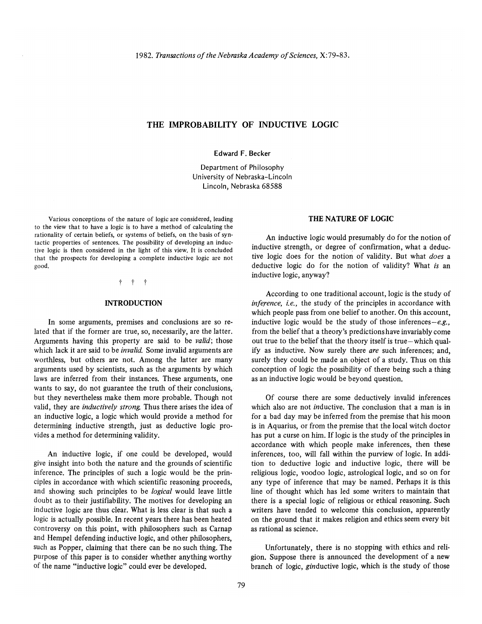### THE IMPROBABILITY OF INDUCTIVE LOGIC

Edward F. Becker

Department of Philosophy Un iversity of Nebraska-Lincoln Lincoln, Nebraska 68588

Various conceptions of the nature of logic are considered, leading to the view that to have a logic is to have a method of calculating the rationality of certain beliefs, or systems of beliefs, on the basis of syntactic properties of sentences. The possibility of developing an inductive logic is then considered in the light of this view. It is concluded that the prospects for developing a complete inductive logic are not good.

#### $t +$

#### INTRODUCTION

In some arguments, premises and conclusions are so related that if the former are true, so, necessarily, are the latter. Arguments having this property are said to be *valid;* those which lack it are said to be *invalid.* Some invalid arguments are worthless, but others are not. Among the latter are many arguments used by scientists, such as the arguments by which laws are inferred from their instances. These arguments, one wants to say, do not guarantee the truth of their conclusions, but they nevertheless make them more probable. Though not valid, they are *inductively strong.* Thus there arises the idea of an inductive logic, a logic which would provide a method for determining inductive strength, just as deductive logic provides a method for determining validity.

An inductive logic, if one could be developed, would give insight into both the nature and the grounds of scientific inference. The principles of such a logic would be the principles in accordance with which scientific reasoning proceeds, and showing such principles to be *logical* would leave little doubt as to their justifiability. The motives for developing an inductive logic are thus clear. What is less clear is that such a logic is actually possible. In recent years there has been heated controversy on this point, with philosophers such as Carnap and Hempel defending inductive logic, and other philosophers, such as Popper, claiming that there can be no such thing. The purpose of this paper is to consider whether anything worthy of the name "inductive logic" could ever be developed.

#### THE NATURE OF LOGIC

An inductive logic would presumably do for the notion of inductive strength, or degree of confirmation, what a deductive logic does for the notion of validity. But what *does* a deductive logic do for the notion of validity? What *is* an inductive logic, anyway?

According to one traditional account, logic is the study of *inference, i.e.,* the study of the principles in accordance with which people pass from one belief to another. On this account, inductive logic would be the study of those *inferences-e.g.,*  from the belief that a theory's predictions have invariably come out true to the belief that the theory itself is true-which qualify as inductive. Now surely there *are* such inferences; and, surely they could be made an object of a study. Thus on this conception of logic the possibility of there being such a thing as an inductive logic would be beyond question.

Of course there are some deductively invalid inferences which also are not *in*ductive. The conclusion that a man is in for a bad day may be inferred from the premise that his moon is in Aquarius, or from the premise that the local witch doctor has put a curse on him. If logic is the study of the principles in accordance with which people make inferences, then these inferences, too, will fall within the purview of logic. In addition to deductive logic and inductive logic, there will be religious logic, voodoo logic, astrological logic, and so on for any type of inference that may be named. Perhaps it is this line of thought which has led some writers to maintain that there is a special logic of religious or ethical reasoning. Such writers have tended to welcome this conclusion, apparently on the ground that it makes religion and ethics seem every bit as rational as science.

Unfortunately, there is no stopping with ethics and religion. Suppose there is announced the development of a new branch of logic, ginductive logic, which is the study of those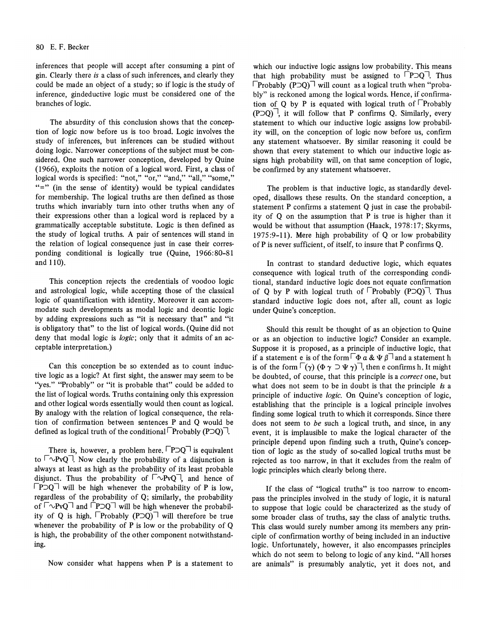inferences that people will accept after consuming a pint of gin. Clearly there *is* a class of such inferences, and clearly they could be made an object of a study; so if logic is the study of inference, gin deductive logic must be considered one of the branches of logic.

The absurdity of this conclusion shows that the conception of logic now before us is too broad. Logic involves the study of inferences, but inferences can be studied without doing logic. Narrower conceptions of the subject must be considered. One such narrower conception, developed by Quine (1966), exploits the notion of a logical word. First, a class of logical words is specified: "not," "or," "and," "all," "some," "=" (in the sense of identity) would be typical candidates for membership. The logical truths are then defined as those truths which invariably turn into other truths when any of their expressions other than a logical word is replaced by a grammatically acceptable substitute. Logic is then defined as the study of logical truths. A pair of sentences will stand in the relation of logical consequence just in case their corresponding conditional is logically true (Quine, 1966:80-81 and 110).

This conception rejects the credentials of voodoo logic and astrological logic, while accepting those of the classical logic of quantification with identity. Moreover it can accommodate such developments as modal logic and deontic logic by adding expressions such as "it is necessary that" and "it is obligatory that" to the list of logical words. (Quine did not deny that modal logic is *logic;* only that it admits of an acceptable interpretation.)

Can this conception be so extended as to count inductive logic as a logic? At first sight, the answer may seem to be "yes." "Probably" or "it is probable that" could be added to the list of logical words. Truths containing only this expression and other logical words essentially would then count as logical. By analogy with the relation of logical consequence, the relation of confirmation between sentences P and Q would be defined as logical truth of the conditional  $\lceil$ Probably (P $\supset Q$ ) $\lceil$ .

There is, however, a problem here.  $\Box$ P $\Box$ Q $\Box$  is equivalent to  $\lceil \neg PvQ \rceil$ . Now clearly the probability of a disjunction is always at least as high as the probability of its least probable disjunct. Thus the probability of  $\lceil \neg PvQ \rceil$ , and hence of  $\Box$ P $\Box$ Q $\Box$  will be high whenever the probability of P is low, regardless of the probability of Q; similarly, the probability of  $\lceil \sqrt{V}VQ \rceil$  and  $\lceil P \rceil Q \rceil$  will be high whenever the probability of Q is high.  $\Box$ Probably (P $\Box$ Q) will therefore be true whenever the probability of P is low or the probability of O is high, the probability of the other component notwithstanding.

Now consider what happens when P is a statement to

which our inductive logic assigns low probability. This means that high probability must be assigned to  $\Box$ P $\Box$ Q $\Box$ . Thus  $\lceil$ Probably (P $\supset$ O)<sup> $\sqsupset$ </sup> will count as a logical truth when "probably" is reckoned among the logical words. Hence, if confirmation of Q by P is equated with logical truth of  $\Box$ Probably  $( P \supset Q)$ , it will follow that P confirms Q. Similarly, every statement to which our inductive logic assigns low probability will, on the conception of logic now before us, confum any statement whatsoever. By similar reasoning it could be shown that every statement to which our inductive logic assigns high probability will, on that same conception of logic, be confirmed by any statement whatsoever.

The problem is that inductive logic, as standardly developed, disallows these results. On the standard conception, a statement P confirms a statement Q just in case the probability of Q on the assumption that P is true is higher than it would be without that assumption (Haack, 1978:17; Skyrms, 1975:9-11). Mere high probability of Q or low probability ofP is never sufficient, of itself, to insure that P confirms Q.

In contrast to standard deductive logic, which equates consequence with logical truth of the corresponding conditional, standard inductive logic does not equate confirmation of Q by P with logical truth of  $\Box$ Probably (P $\Box$ Q) $\Box$ . Thus standard inductive logic does not, after all, count as logic under Quine's conception.

Should this result be thought of as an objection to Quine or as an objection to inductive logic? Consider an example. Suppose it is proposed, as a principle of inductive logic, that if a statement e is of the form  $\lceil \Phi a \& \Psi \rceil$  and a statement h is of the form  $\lceil (\gamma) (\Phi \gamma \supset \Psi \gamma) \rceil$ , then e confirms h. It might be doubted, of course, that this principle is a *correct* one, but what does not seem to be in doubt is that the principle *is* a principle of inductive *logic.* On Quine's conception of logic, establishing that the principle is a logical principle involves finding some logical truth to which it corresponds. Since there does not seem to *be* such a logical truth, and since, in any event, it is implausible to make the logical character of the principle depend upon finding such a truth, Quine's conception of logic as the study of so-called logical truths must be rejected as too narrow, in that it excludes from the realm of logic principles which clearly belong there.

If the class of "logical truths" is too narrow to encompass the principles involved in the study of logic, it is natural to suppose that logic could be characterized as the study of some broader class of truths, say the class of analytic truths. This class would surely number among its members any principle of confirmation worthy of being included in an inductive logic. Unfortunately, however, it also encompasses principles which do not seem to belong to logic of any kind. "All horses are animals" is presumably analytic, yet it does not, and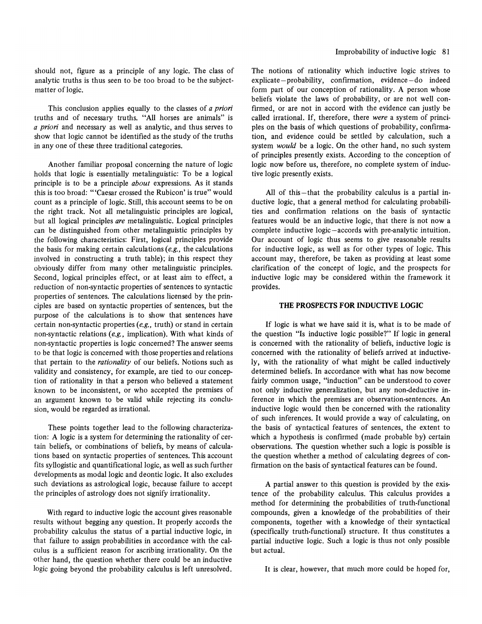should not, figure as a principle of any logic. The class of analytic truths is thus seen to be too broad to be the subjectmatter of logic.

This conclusion applies equally to the classes of *a priori*  truths and of necessary truths. "All horses are animals" is *a priori* and necessary as well as analytic, and thus serves to show that logic cannot be identified as the study of the truths in anyone of these three traditional categories.

Another familiar proposal concerning the nature of logic holds that logic is essentially metalinguistic: To be a logical principle is to be a principle *about* expressions. As it stands this is too broad: '''Caesar crossed the Rubicon' is true" would count as a principle of logic. Still, this account seems to be on the right track. Not all metalinguistic principles are logical, but all logical principles *are* metalinguistic. Logical principles can be distinguished from other metalinguistic principles by the following characteristics: First, logical principles provide the basis for making certain calculations *(e.g.,* the calculations involved in constructing a truth table); in this respect they obviously differ from many other metalinguistic principles. Second, logical principles effect, or at least aim to effect, a reduction of non-syntactic properties of sentences to syntactic properties of sentences. The calculations licensed by the principles are based on syntactic properties of sentences, but the purpose of the calculations is to show that sentences have certain non-syntactic properties *(e.g.,* truth) or stand in certain non-syntactic relations *(e.g.,* implication). With what kinds of non-syntactic properties is logic concerned? The answer seems to be that logic is concerned with those properties and relations that pertain to the *rationality* of our beliefs. Notions such as validity and consistency, for example, are tied to our conception of rationality in that a person who believed a statement known to be inconsistent, or who accepted the premises of an argument known to be valid while rejecting its conclusion, would be regarded as irrational.

These points together lead to the following characterization: A logic is a system for determining the rationality of certain beliefs, or combinations of beliefs, by means of calculations based on syntactic properties of sentences. This account fits syllogistic and quantificational logic, as well as such further developments as modal logic and deontic logic. It also excludes such deviations as astrological logic, because failure to accept the principles of astrology does not signify irrationality.

With regard to inductive logic the account gives reasonable results without begging any question. It properly accords the probability calculus the status of a partial inductive logic, in that failure to assign probabilities in accordance with the calculus is a sufficient reason for ascribing irrationality. On the other hand, the question whether there could be an inductive logic going beyond the probability calculus is left unresolved.

The notions of rationality which inductive logic strives to explicate-probability, confirmation, evidence-do indeed form part of our conception of rationality. A person whose beliefs violate the laws of probability, or are not well confirmed, or are not in accord with the evidence can justly be called irrational. If, therefore, there *were* a system of principles on the basis of which questions of probability, confirmation, and evidence could be settled by calculation, such a system *would* be a logic. On the other hand, no such system of principles presently exists. According to the conception of logic now before us, therefore, no complete system of inductive logic presently exists.

All of this-that the probability calculus is a partial inductive logic, that a general method for calculating probabilities and confirmation relations on the basis of syntactic features would be an inductive logic, that there is not now a complete inductive logic-accords with pre-analytic intuition. Our account of logic thus seems to give reasonable results for inductive logic, as well as for other types of logic. This account may, therefore, be taken as providing at least some clarification of the concept of logic, and the prospects for inductive logic may be considered within the framework it provides.

#### THE PROSPECTS FOR INDUCTIVE LOGIC

If logic is what we have said it is, what is to be made of the question "Is inductive logic possible?" If logic in general is concerned with the rationality of beliefs, inductive logic is concerned with the rationality of beliefs arrived at inductively, with the rationality of what might be called inductively determined beliefs. In accordance with what has now become fairly common usage, "induction" can be understood to cover not only inductive generalization, but any non-deductive inference in which the premises are observation-sentences. An inductive logic would then be concerned with the rationality of such inferences. It would provide a way of calculating, on the basis of syntactical features of sentences, the extent to which a hypothesis is confirmed (made probable by) certain observations. The question whether such a logic is possible is the question whether a method of calculating degrees of confirmation on the basis of syntactical features can be found.

A partial answer to this question is provided by the existence of the probability calculus. This calculus provides a method for determining the probabilities of truth-functional compounds, given a knowledge of the probabilities of their components, together with a knowledge of their syntactical (specifically truth-functional) structure. It thus constitutes a partial inductive logic. Such a logic is thus not only possible but actual.

It is clear, however, that much more could be hoped for,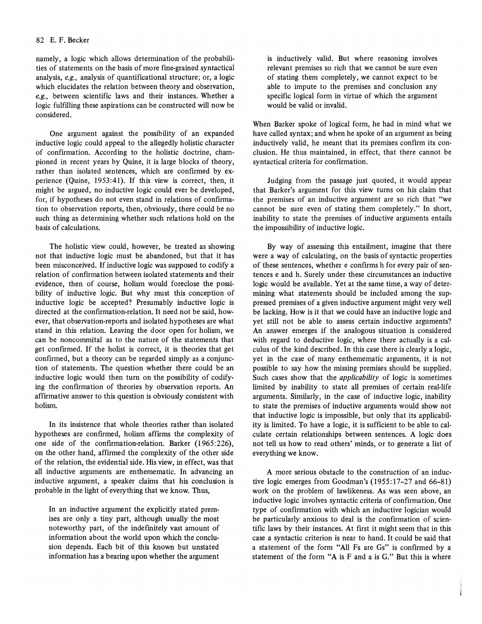namely, a logic which allows determination of the probabilities of statements on the basis of more fine-grained syntactical analysis, *e.g.,* analysis of quantificational structure; or, a logic which elucidates the relation between theory and observation, *e.g.,* between scientific laws and their instances. Whether a logic fulfilling these aspirations can be constructed will now be considered.

One argument against the possibility of an expanded inductive logic could appeal to the allegedly holistic character of confirmation. According to the holistic doctrine, championed in recent years by Quine, it is large blocks of theory, rather than isolated sentences, which are confirmed by experience (Quine, 1953:41). If this view is correct, then, it might be argued, no inductive logic could ever be developed, for, if hypotheses do not even stand in relations of confirmation to observation reports, then, obviously, there could be no such thing as determining whether such relations hold on the basis of calculations.

The holistic view could, however, be treated as showing not that inductive logic must be abandoned, but that it has been misconceived. If inductive logic was supposed to codify a relation of confirmation between isolated statements and their evidence, then of course, holism would foreclose the possibility of inductive logic. But why must this conception of inductive logic be accepted? Presumably inductive logic is directed at the confirmation-relation. It need not be said, however, that observation-reports and isolated hypotheses are what stand in this relation. Leaving the door open for holism, we can be noncommital as to the nature of the statements that get confirmed. If the holist is correct, it is theories that get confirmed, but a theory can be regarded simply as a conjunction of statements. The question whether there could be an inductive logic would then turn on the possibility of codifying the confirmation of theories by observation reports. An affirmative answer to this question is obviously consistent with holism.

**In** its insistence that whole theories rather than isolated hypotheses are confirmed, holism affirms the complexity of one side of the confirmation-relation. Barker (1965:226), on the other hand, affirmed the complexity of the other side of the relation, the evidential side. His view, in effect, was that all inductive arguments are enthemematic. **In** advancing an inductive argument, a speaker claims that his conclusion is probable in the light of everything that we know. Thus,

**In** an inductive argument the explicitly stated premises are only a tiny part, although usually the most noteworthy part, of the indefmitely vast amount of information about the world upon which the conclusion depends. Each bit of this known but unstated information has a bearing upon whether the argument

is inductively valid. But where reasoning involves relevant premises so rich that we cannot be sure even of stating them completely, we cannot expect to be able to impute to the premises and conclusion any specific logical form in virtue of which the argument would be valid or invalid.

When Barker spoke of logical form, he had in mind what we have called syntax; and when he spoke of an argument as being inductively valid, he meant that its premises confirm its conclusion. He thus maintained, in effect, that there cannot be syntactical criteria for confirmation.

Judging from the passage just quoted, it would appear that Barker's argument for this view turns on his claim that the premises of an inductive argument are so rich that "we cannot be sure even of stating them completely." **In** short, inability to state the premises of inductive arguments entails the impossibility of inductive logic.

By way of assessing this entailment, imagine that there were a way of calculating, on the basis of syntactic properties of these sentences, whether e confirms h for every pair of sentences e and h. Surely under these circumstances an inductive logic would be available. Yet at the same time, a way of determining what statements should be included among the suppressed premises of a given inductive argument might very well be lacking. How is it that we could have an inductive logic and yet still not be able to assess certain inductive arguments? An answer emerges if the analogous situation is considered with regard to deductive logic, where there actually is a calculus of the kind described. **In** this case there is clearly a logic, yet in the case of many enthemematic arguments, it is not possible to say how the missing premises should be supplied. Such cases show that the *applicability* of logic is sometimes limited by inability to state all premises of certain real-life arguments. Similarly, in the case of inductive logic, inability to state the premises of inductive arguments would show not that inductive logic is impossible, but only that its applicability is limited. To have a logic, it is sufficient to be able to calculate certain relationships between sentences. A logic does not tell us how to read others' minds, or to generate a list of everything we know.

A more serious obstacle to the construction of an inductive logic emerges from Goodman's  $(1955:17-27$  and  $66-81)$ work on the problem of lawlikeness. As was seen above, an inductive logic involves syntactic criteria of confirmation. One type of confirmation with which an inductive logician would be particularly anxious to deal is the confirmation of scientific laws by their instances. At first it might seem that in this case a syntactic criterion is near to hand. It could be said that a statement of the form "All Fs are Gs" is confirmed by a statement of the form "A is F and a is G." But this is where